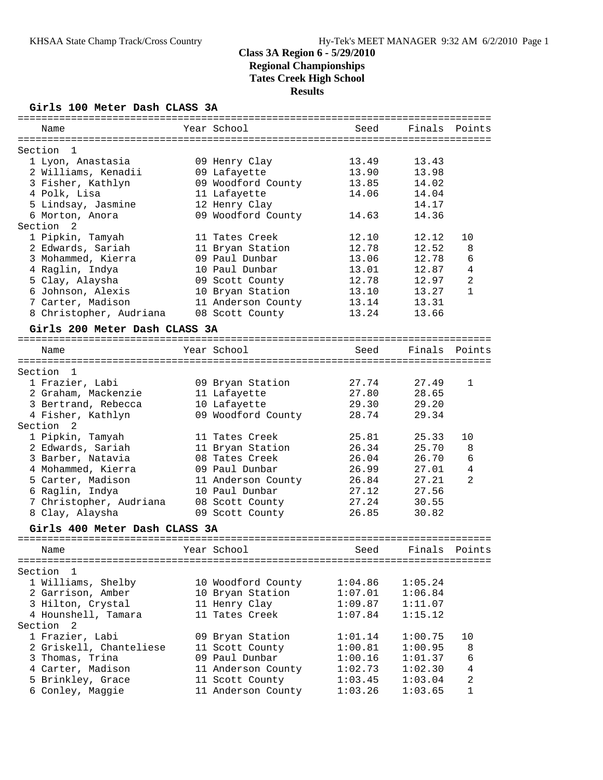### **Girls 100 Meter Dash CLASS 3A**

| ===========                   |                    |         |         |                |
|-------------------------------|--------------------|---------|---------|----------------|
| Name                          | Year School        | Seed    | Finals  | Points         |
| Section<br>1                  |                    |         |         |                |
| 1 Lyon, Anastasia             | 09 Henry Clay      | 13.49   | 13.43   |                |
| 2 Williams, Kenadii           | 09 Lafayette       | 13.90   | 13.98   |                |
| 3 Fisher, Kathlyn             | 09 Woodford County | 13.85   | 14.02   |                |
| 4 Polk, Lisa                  | 11 Lafayette       | 14.06   | 14.04   |                |
|                               |                    |         |         |                |
| 5 Lindsay, Jasmine            | 12 Henry Clay      |         | 14.17   |                |
| 6 Morton, Anora               | 09 Woodford County | 14.63   | 14.36   |                |
| Section<br>2                  |                    |         |         |                |
| 1 Pipkin, Tamyah              | 11 Tates Creek     | 12.10   | 12.12   | 10             |
| 2 Edwards, Sariah             | 11 Bryan Station   | 12.78   | 12.52   | 8              |
| 3 Mohammed, Kierra            | 09 Paul Dunbar     | 13.06   | 12.78   | 6              |
| 4 Raglin, Indya               | 10 Paul Dunbar     | 13.01   | 12.87   | 4              |
| 5 Clay, Alaysha               | 09 Scott County    | 12.78   | 12.97   | $\overline{2}$ |
| 6 Johnson, Alexis             | 10 Bryan Station   | 13.10   | 13.27   | $\mathbf{1}$   |
| 7 Carter, Madison             | 11 Anderson County | 13.14   | 13.31   |                |
| 8 Christopher, Audriana       | 08 Scott County    | 13.24   | 13.66   |                |
| Girls 200 Meter Dash CLASS 3A |                    |         |         |                |
| Name                          | Year School        | Seed    | Finals  | Points         |
|                               |                    |         |         |                |
| Section<br>1                  |                    |         |         |                |
| 1 Frazier, Labi               | 09 Bryan Station   | 27.74   | 27.49   | 1              |
| 2 Graham, Mackenzie           | 11 Lafayette       | 27.80   | 28.65   |                |
| 3 Bertrand, Rebecca           | 10 Lafayette       | 29.30   | 29.20   |                |
| 4 Fisher, Kathlyn             | 09 Woodford County | 28.74   | 29.34   |                |
| Section<br>2                  |                    |         |         |                |
| 1 Pipkin, Tamyah              | 11 Tates Creek     | 25.81   | 25.33   | 10             |
| 2 Edwards, Sariah             | 11 Bryan Station   | 26.34   | 25.70   | 8              |
| 3 Barber, Natavia             | 08 Tates Creek     | 26.04   | 26.70   | 6              |
| 4 Mohammed, Kierra            | 09 Paul Dunbar     | 26.99   | 27.01   | 4              |
| 5 Carter, Madison             | 11 Anderson County | 26.84   | 27.21   | 2              |
| 6 Raglin, Indya               | 10 Paul Dunbar     | 27.12   | 27.56   |                |
| 7 Christopher, Audriana       | 08 Scott County    | 27.24   | 30.55   |                |
| 8 Clay, Alaysha               | 09 Scott County    | 26.85   | 30.82   |                |
|                               |                    |         |         |                |
| Girls 400 Meter Dash CLASS 3A |                    |         |         |                |
| Name                          | Year School        | Seed    | Finals  | Points         |
|                               |                    |         |         |                |
| Section<br>- 1                |                    |         |         |                |
| 1 Williams, Shelby            | 10 Woodford County | 1:04.86 | 1:05.24 |                |
| 2 Garrison, Amber             | 10 Bryan Station   | 1:07.01 | 1:06.84 |                |
| 3 Hilton, Crystal             | 11 Henry Clay      | 1:09.87 | 1:11.07 |                |
| 4 Hounshell, Tamara           | 11 Tates Creek     | 1:07.84 | 1:15.12 |                |
| Section <sub>2</sub>          |                    |         |         |                |
| 1 Frazier, Labi               | 09 Bryan Station   | 1:01.14 | 1:00.75 | 10             |
| 2 Griskell, Chanteliese       | 11 Scott County    | 1:00.81 | 1:00.95 | 8              |
| 3 Thomas, Trina               | 09 Paul Dunbar     | 1:00.16 | 1:01.37 | 6              |
| 4 Carter, Madison             | 11 Anderson County | 1:02.73 | 1:02.30 | $\sqrt{4}$     |
| 5 Brinkley, Grace             | 11 Scott County    | 1:03.45 | 1:03.04 | $\sqrt{2}$     |
| 6 Conley, Maggie              | 11 Anderson County | 1:03.26 | 1:03.65 | $\mathbf{1}$   |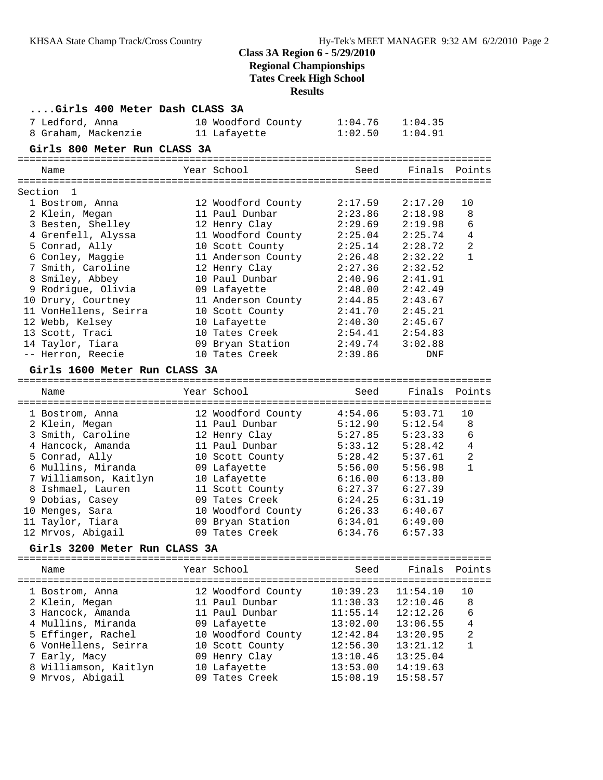# **Class 3A Region 6 - 5/29/2010**

**Regional Championships Tates Creek High School**

# **Results**

| Girls 400 Meter Dash CLASS 3A |                    |          |          |                |
|-------------------------------|--------------------|----------|----------|----------------|
| 7 Ledford, Anna               | 10 Woodford County | 1:04.76  | 1:04.35  |                |
| 8 Graham, Mackenzie           | 11 Lafayette       | 1:02.50  | 1:04.91  |                |
| Girls 800 Meter Run CLASS 3A  |                    |          |          |                |
|                               |                    |          |          |                |
| Name                          | Year School        | Seed     | Finals   | Points         |
| Section<br>$\overline{1}$     |                    |          |          |                |
| 1 Bostrom, Anna               | 12 Woodford County | 2:17.59  | 2:17.20  | 10             |
| 2 Klein, Megan                | 11 Paul Dunbar     | 2:23.86  | 2:18.98  | 8              |
| 3 Besten, Shelley             | 12 Henry Clay      | 2:29.69  | 2:19.98  | 6              |
| 4 Grenfell, Alyssa            | 11 Woodford County | 2:25.04  | 2:25.74  | $\overline{4}$ |
| 5 Conrad, Ally                | 10 Scott County    | 2:25.14  | 2:28.72  | 2              |
| 6 Conley, Maggie              | 11 Anderson County | 2:26.48  | 2:32.22  | 1              |
| 7 Smith, Caroline             | 12 Henry Clay      | 2:27.36  | 2:32.52  |                |
| 8 Smiley, Abbey               | 10 Paul Dunbar     | 2:40.96  | 2:41.91  |                |
| 9 Rodrigue, Olivia            | 09 Lafayette       | 2:48.00  | 2:42.49  |                |
| 10 Drury, Courtney            | 11 Anderson County | 2:44.85  | 2:43.67  |                |
| 11 VonHellens, Seirra         | 10 Scott County    | 2:41.70  | 2:45.21  |                |
| 12 Webb, Kelsey               | 10 Lafayette       | 2:40.30  | 2:45.67  |                |
| 13 Scott, Traci               | 10 Tates Creek     | 2:54.41  | 2:54.83  |                |
| 14 Taylor, Tiara              | 09 Bryan Station   | 2:49.74  | 3:02.88  |                |
| -- Herron, Reecie             | 10 Tates Creek     | 2:39.86  | DNF      |                |
|                               |                    |          |          |                |
| Girls 1600 Meter Run CLASS 3A |                    |          |          |                |
| Name                          | Year School        | Seed     | Finals   | Points         |
|                               |                    |          |          |                |
| 1 Bostrom, Anna               | 12 Woodford County | 4:54.06  | 5:03.71  | 10             |
| 2 Klein, Megan                | 11 Paul Dunbar     | 5:12.90  | 5:12.54  | 8              |
| 3 Smith, Caroline             | 12 Henry Clay      | 5:27.85  | 5:23.33  | 6              |
| 4 Hancock, Amanda             | 11 Paul Dunbar     | 5:33.12  | 5:28.42  | 4              |
| 5 Conrad, Ally                | 10 Scott County    | 5:28.42  | 5:37.61  | 2              |
| 6 Mullins, Miranda            | 09 Lafayette       | 5:56.00  | 5:56.98  | 1              |
| 7 Williamson, Kaitlyn         | 10 Lafayette       | 6:16.00  | 6:13.80  |                |
| 8 Ishmael, Lauren             | 11 Scott County    | 6:27.37  | 6:27.39  |                |
| 9 Dobias, Casey               | 09 Tates Creek     | 6:24.25  | 6:31.19  |                |
| 10 Menges, Sara               | 10 Woodford County | 6:26.33  | 6:40.67  |                |
| 11 Taylor, Tiara              | 09 Bryan Station   | 6:34.01  | 6:49.00  |                |
| 12 Mrvos, Abigail             | 09 Tates Creek     | 6:34.76  | 6:57.33  |                |
| Girls 3200 Meter Run CLASS 3A |                    |          |          |                |
| Name                          | Year School        | Seed     | Finals   |                |
|                               |                    |          |          | Points         |
| 1 Bostrom, Anna               | 12 Woodford County | 10:39.23 | 11:54.10 | 10             |
| 2 Klein, Megan                | 11 Paul Dunbar     | 11:30.33 | 12:10.46 | 8              |
| 3 Hancock, Amanda             | 11 Paul Dunbar     | 11:55.14 | 12:12.26 | 6              |
| 4 Mullins, Miranda            | 09 Lafayette       | 13:02.00 | 13:06.55 | 4              |
| 5 Effinger, Rachel            | 10 Woodford County | 12:42.84 | 13:20.95 | 2              |
| 6 VonHellens, Seirra          | 10 Scott County    | 12:56.30 | 13:21.12 | 1              |
| 7 Early, Macy                 | 09 Henry Clay      | 13:10.46 | 13:25.04 |                |
| 8 Williamson, Kaitlyn         | 10 Lafayette       | 13:53.00 | 14:19.63 |                |
| 9 Mrvos, Abigail              | 09 Tates Creek     | 15:08.19 | 15:58.57 |                |
|                               |                    |          |          |                |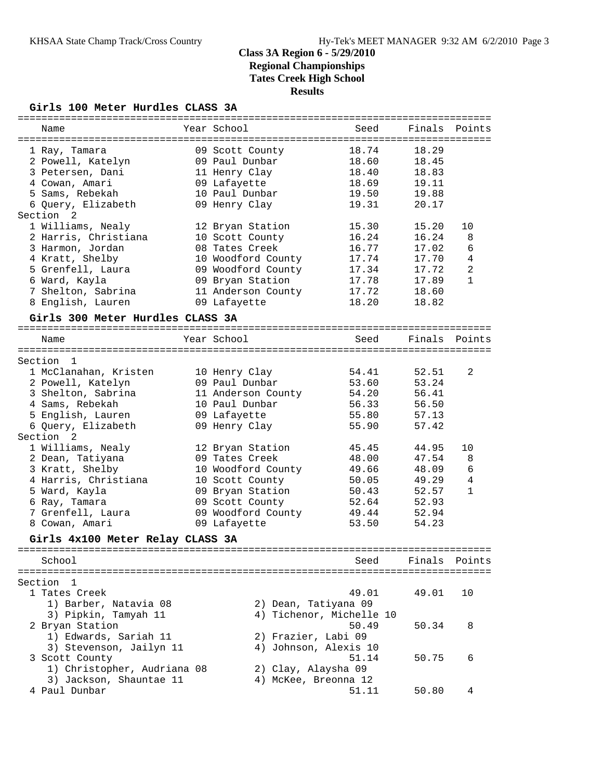### **Girls 100 Meter Hurdles CLASS 3A**

| ==========                                    |                                 | -----------------            |                |              |
|-----------------------------------------------|---------------------------------|------------------------------|----------------|--------------|
| Name                                          | Year School                     | Seed                         | Finals         | Points       |
|                                               |                                 |                              |                |              |
| 1 Ray, Tamara                                 | 09 Scott County                 | 18.74                        | 18.29          |              |
| 2 Powell, Katelyn                             | 09 Paul Dunbar                  | 18.60<br>18.40               | 18.45<br>18.83 |              |
| 3 Petersen, Dani                              | 11 Henry Clay                   | 18.69                        | 19.11          |              |
| 4 Cowan, Amari<br>5 Sams, Rebekah             | 09 Lafayette<br>10 Paul Dunbar  | 19.50                        | 19.88          |              |
| 6 Query, Elizabeth                            | 09 Henry Clay                   | 19.31                        | 20.17          |              |
| Section<br>-2                                 |                                 |                              |                |              |
| 1 Williams, Nealy                             | 12 Bryan Station                | 15.30                        | 15.20          | 10           |
| 2 Harris, Christiana                          | 10 Scott County                 | 16.24                        | 16.24          | 8            |
| 3 Harmon, Jordan                              | 08 Tates Creek                  | 16.77                        | 17.02          | 6            |
| 4 Kratt, Shelby                               | 10 Woodford County              | 17.74                        | 17.70          | 4            |
| 5 Grenfell, Laura                             | 09 Woodford County              | 17.34                        | 17.72          | 2            |
| 6 Ward, Kayla                                 | 09 Bryan Station                | 17.78                        | 17.89          | $\mathbf{1}$ |
| 7 Shelton, Sabrina                            | 11 Anderson County              | 17.72                        | 18.60          |              |
| 8 English, Lauren                             | 09 Lafayette                    | 18.20                        | 18.82          |              |
| Girls 300 Meter Hurdles CLASS 3A              |                                 |                              |                |              |
|                                               |                                 |                              |                |              |
| Name                                          | Year School                     | Seed                         | Finals         | Points       |
|                                               |                                 |                              |                |              |
| Section<br>$\overline{1}$                     |                                 | 54.41                        | 52.51          | 2            |
| 1 McClanahan, Kristen<br>2 Powell, Katelyn    | 10 Henry Clay<br>09 Paul Dunbar | 53.60                        | 53.24          |              |
| 3 Shelton, Sabrina                            | 11 Anderson County              | 54.20                        | 56.41          |              |
| 4 Sams, Rebekah                               | 10 Paul Dunbar                  | 56.33                        | 56.50          |              |
| 5 English, Lauren                             | 09 Lafayette                    | 55.80                        | 57.13          |              |
| 6 Query, Elizabeth                            | 09 Henry Clay                   | 55.90                        | 57.42          |              |
| Section<br>2                                  |                                 |                              |                |              |
| 1 Williams, Nealy                             | 12 Bryan Station                | 45.45                        | 44.95          | 10           |
| 2 Dean, Tatiyana                              | 09 Tates Creek                  | 48.00                        | 47.54          | 8            |
| 3 Kratt, Shelby                               | 10 Woodford County              | 49.66                        | 48.09          | 6            |
| 4 Harris, Christiana                          | 10 Scott County                 | 50.05                        | 49.29          | 4            |
| 5 Ward, Kayla                                 | 09 Bryan Station                | 50.43                        | 52.57          | 1            |
| 6 Ray, Tamara                                 | 09 Scott County                 | 52.64                        | 52.93          |              |
| 7 Grenfell, Laura                             | 09 Woodford County              | 49.44                        | 52.94          |              |
| 8 Cowan, Amari                                | 09 Lafayette                    | 53.50                        | 54.23          |              |
| Girls 4x100 Meter Relay CLASS 3A              |                                 |                              |                |              |
|                                               |                                 |                              |                |              |
| School                                        |                                 | Seed                         | Finals         | Points       |
|                                               |                                 |                              |                |              |
| Section<br>$\mathbf{1}$                       |                                 |                              |                |              |
| 1 Tates Creek                                 |                                 | 49.01                        | 49.01          | 10           |
| 1) Barber, Natavia 08                         |                                 | 2) Dean, Tatiyana 09         |                |              |
| 3) Pipkin, Tamyah 11                          |                                 | 4) Tichenor, Michelle 10     |                |              |
| 2 Bryan Station                               |                                 | 50.49                        | 50.34          | 8            |
| 1) Edwards, Sariah 11                         |                                 | 2) Frazier, Labi 09          |                |              |
| 3) Stevenson, Jailyn 11                       |                                 | 4) Johnson, Alexis 10        |                |              |
| 3 Scott County<br>1) Christopher, Audriana 08 |                                 | 51.14<br>2) Clay, Alaysha 09 | 50.75          | 6            |
| 3) Jackson, Shauntae 11                       |                                 | 4) McKee, Breonna 12         |                |              |
| 4 Paul Dunbar                                 |                                 | 51.11                        | 50.80          | 4            |
|                                               |                                 |                              |                |              |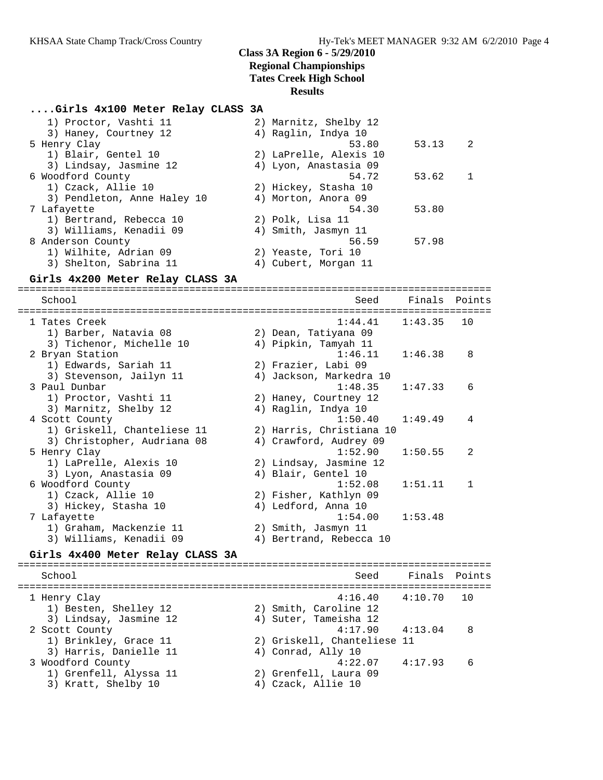### **....Girls 4x100 Meter Relay CLASS 3A**

| 1) Proctor, Vashti 11       | 2) Marnitz, Shelby 12  |       |              |
|-----------------------------|------------------------|-------|--------------|
| 3) Haney, Courtney 12       | 4) Raglin, Indya 10    |       |              |
| 5 Henry Clay                | 53.80                  | 53.13 | -2           |
| 1) Blair, Gentel 10         | 2) LaPrelle, Alexis 10 |       |              |
| 3) Lindsay, Jasmine 12      | 4) Lyon, Anastasia 09  |       |              |
| 6 Woodford County           | 54.72                  | 53.62 | $\mathbf{1}$ |
| 1) Czack, Allie 10          | 2) Hickey, Stasha 10   |       |              |
| 3) Pendleton, Anne Haley 10 | 4) Morton, Anora 09    |       |              |
| 7 Lafayette                 | 54.30                  | 53.80 |              |
| 1) Bertrand, Rebecca 10     | 2) Polk, Lisa 11       |       |              |
| 3) Williams, Kenadii 09     | 4) Smith, Jasmyn 11    |       |              |
| 8 Anderson County           | 56.59                  | 57.98 |              |
| 1) Wilhite, Adrian 09       | 2) Yeaste, Tori 10     |       |              |
| 3) Shelton, Sabrina 11      | 4) Cubert, Morgan 11   |       |              |

#### **Girls 4x200 Meter Relay CLASS 3A**

================================================================================ School Seed Finals Points ================================================================================ 1 Tates Creek 1:44.41 1:43.35 10 1) Barber, Natavia 08 2) Dean, Tatiyana 09 3) Tichenor, Michelle 10 4) Pipkin, Tamyah 11 2 Bryan Station 1:46.11 1:46.38 8 1) Edwards, Sariah 11 2) Frazier, Labi 09 3) Stevenson, Jailyn 11 4) Jackson, Markedra 10 3 Paul Dunbar 1:48.35 1:47.33 6 1) Proctor, Vashti 11 2) Haney, Courtney 12 3) Marnitz, Shelby 12 (4) Raglin, Indya 10 4 Scott County 1:50.40 1:49.49 4 1) Griskell, Chanteliese 11 2) Harris, Christiana 10 3) Christopher, Audriana 08 4) Crawford, Audrey 09 5 Henry Clay 1:52.90 1:50.55 2 1) LaPrelle, Alexis 10 2) Lindsay, Jasmine 12 3) Lyon, Anastasia 09 4) Blair, Gentel 10 6 Woodford County 1:52.08 1:51.11 1 1) Czack, Allie 10 2) Fisher, Kathlyn 09 3) Hickey, Stasha 10  $\hskip1cm \hskip1cm 4$ ) Ledford, Anna 10 7 Lafayette 1:54.00 1:53.48 1) Graham, Mackenzie 11 2) Smith, Jasmyn 11 3) Williams, Kenadii 09 4) Bertrand, Rebecca 10 **Girls 4x400 Meter Relay CLASS 3A** ================================================================================

 School Seed Finals Points ================================================================================ 1 Henry Clay 4:16.40 4:10.70 10 1) Besten, Shelley 12 2) Smith, Caroline 12 3) Lindsay, Jasmine 12 4) Suter, Tameisha 12 2 Scott County 4:17.90 4:13.04 8 1) Brinkley, Grace 11 2) Griskell, Chanteliese 11 3) Harris, Danielle 11  $\hskip10mm 4$ ) Conrad, Ally 10 3 Woodford County 4:22.07 4:17.93 6 1) Grenfell, Alyssa 11 2) Grenfell, Laura 09 3) Kratt, Shelby 10 (4) Czack, Allie 10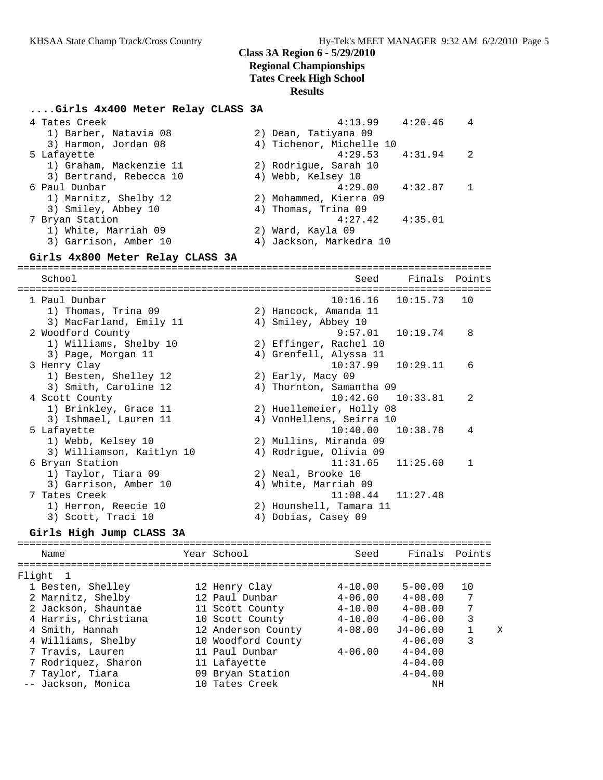## **Class 3A Region 6 - 5/29/2010**

**Regional Championships**

**Tates Creek High School**

#### **Results**

### **....Girls 4x400 Meter Relay CLASS 3A**

| 4 Tates Creek                    | 4:13.99                  | 4:20.46       | 4 |
|----------------------------------|--------------------------|---------------|---|
| 1) Barber, Natavia 08            | 2) Dean, Tatiyana 09     |               |   |
| 3) Harmon, Jordan 08             | 4) Tichenor, Michelle 10 |               |   |
| 5 Lafayette                      | $4:29.53$ $4:31.94$      |               | 2 |
| 1) Graham, Mackenzie 11          | 2) Rodrigue, Sarah 10    |               |   |
| 3) Bertrand, Rebecca 10          | 4) Webb, Kelsey 10       |               |   |
| 6 Paul Dunbar                    | 4:29.00                  | 4:32.87       |   |
| 1) Marnitz, Shelby 12            | 2) Mohammed, Kierra 09   |               |   |
| 3) Smiley, Abbey 10              | 4) Thomas, Trina 09      |               |   |
| 7 Bryan Station                  | 4:27.42                  | 4:35.01       |   |
| 1) White, Marriah 09             | 2) Ward, Kayla 09        |               |   |
| 3) Garrison, Amber 10            | 4) Jackson, Markedra 10  |               |   |
| Girls 4x800 Meter Relay CLASS 3A |                          |               |   |
| School                           | Seed                     | Finals Points |   |

================================================================================ 1 Paul Dunbar 10:16.16 10:15.73 10 1) Thomas, Trina 09 2) Hancock, Amanda 11 3) MacFarland, Emily 11 (4) Smiley, Abbey 10 2 Woodford County 9:57.01 10:19.74 8 1) Williams, Shelby 10 2) Effinger, Rachel 10 3) Page, Morgan 11 4) Grenfell, Alyssa 11 3 Henry Clay 10:37.99 10:29.11 6 1) Besten, Shelley 12 2) Early, Macy 09 3) Smith, Caroline 12 4) Thornton, Samantha 09 4 Scott County 10:42.60 10:33.81 2 1) Brinkley, Grace 11 2) Huellemeier, Holly 08 3) Ishmael, Lauren 11 4) VonHellens, Seirra 10 5 Lafayette 10:40.00 10:38.78 4 1) Webb, Kelsey 10 2) Mullins, Miranda 09 3) Williamson, Kaitlyn 10 4) Rodrigue, Olivia 09 6 Bryan Station 11:31.65 11:25.60 1 1) Taylor, Tiara 09 2) Neal, Brooke 10 3) Garrison, Amber 10  $\hspace{1cm}$  4) White, Marriah 09 7 Tates Creek 11:08.44 11:27.48 1) Herron, Reecie 10 2) Hounshell, Tamara 11 3) Scott, Traci 10 (4) Dobias, Casey 09

### **Girls High Jump CLASS 3A**

| Name                 | Year School        | Seed        | Finals       | Points |   |
|----------------------|--------------------|-------------|--------------|--------|---|
| Flight 1             |                    |             |              |        |   |
| 1 Besten, Shelley    | 12 Henry Clay      | $4 - 10.00$ | $5 - 00.00$  | 10     |   |
| 2 Marnitz, Shelby    | 12 Paul Dunbar     | $4 - 06.00$ | $4 - 08.00$  | -7     |   |
| 2 Jackson, Shauntae  | 11 Scott County    | $4 - 10.00$ | $4 - 08.00$  | 7      |   |
| 4 Harris, Christiana | 10 Scott County    | $4 - 10.00$ | $4 - 06.00$  | 3      |   |
| 4 Smith, Hannah      | 12 Anderson County | $4 - 08.00$ | $J4 - 06.00$ |        | X |
| 4 Williams, Shelby   | 10 Woodford County |             | $4 - 06.00$  | 3      |   |
| 7 Travis, Lauren     | 11 Paul Dunbar     | $4 - 06.00$ | $4 - 04.00$  |        |   |
| 7 Rodriguez, Sharon  | 11 Lafayette       |             | $4 - 04.00$  |        |   |
| 7 Taylor, Tiara      | 09 Bryan Station   |             | $4 - 04.00$  |        |   |
| -- Jackson, Monica   | 10 Tates Creek     |             | ΝH           |        |   |
|                      |                    |             |              |        |   |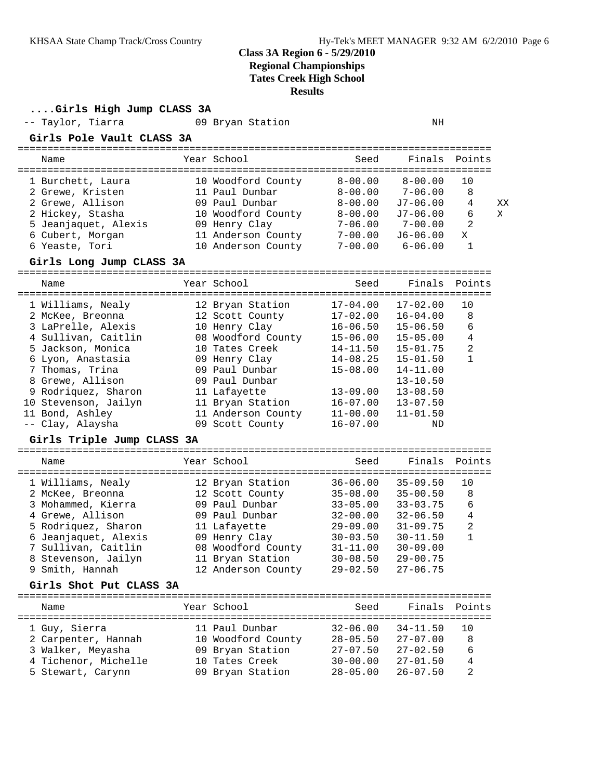**....Girls High Jump CLASS 3A**

| GITIS HIGN JUMP CLASS 3A            |                                       |                              |                              |                   |  |  |  |  |
|-------------------------------------|---------------------------------------|------------------------------|------------------------------|-------------------|--|--|--|--|
| -- Taylor, Tiarra                   | 09 Bryan Station                      |                              | ΝH                           |                   |  |  |  |  |
| Girls Pole Vault CLASS 3A           |                                       |                              |                              |                   |  |  |  |  |
| Name                                | Year School                           | Seed                         | Finals                       | Points            |  |  |  |  |
| 1 Burchett, Laura                   | 10 Woodford County                    | $8 - 00.00$                  | $8 - 00.00$                  | 10                |  |  |  |  |
| 2 Grewe, Kristen                    | 11 Paul Dunbar                        | $8 - 00.00$                  | $7 - 06.00$                  | 8                 |  |  |  |  |
| 2 Grewe, Allison                    | 09 Paul Dunbar                        | $8 - 00.00$                  | J7-06.00                     | 4<br>XX           |  |  |  |  |
| 2 Hickey, Stasha                    | 10 Woodford County                    | $8 - 00.00$                  | $J7-06.00$                   | 6<br>X            |  |  |  |  |
| 5 Jeanjaquet, Alexis                | 09 Henry Clay                         | $7 - 06.00$                  | $7 - 00.00$                  | 2                 |  |  |  |  |
| 6 Cubert, Morgan                    | 11 Anderson County                    | $7 - 00.00$                  | $J6 - 06.00$                 | X                 |  |  |  |  |
| 6 Yeaste, Tori                      | 10 Anderson County                    | $7 - 00.00$                  | $6 - 06.00$                  | 1                 |  |  |  |  |
| Girls Long Jump CLASS 3A            |                                       |                              |                              |                   |  |  |  |  |
| Name                                | Year School                           | Seed                         | Finals                       | Points            |  |  |  |  |
|                                     |                                       | $17 - 04.00$                 | $17 - 02.00$                 |                   |  |  |  |  |
| 1 Williams, Nealy                   | 12 Bryan Station                      |                              |                              | 10<br>8           |  |  |  |  |
| 2 McKee, Breonna                    | 12 Scott County                       | $17 - 02.00$                 | $16 - 04.00$<br>$15 - 06.50$ |                   |  |  |  |  |
| 3 LaPrelle, Alexis                  | 10 Henry Clay                         | $16 - 06.50$                 |                              | 6                 |  |  |  |  |
| 4 Sullivan, Caitlin                 | 08 Woodford County                    | $15 - 06.00$                 | $15 - 05.00$                 | 4                 |  |  |  |  |
| 5 Jackson, Monica                   | 10 Tates Creek                        | $14 - 11.50$                 | $15 - 01.75$                 | 2<br>$\mathbf{1}$ |  |  |  |  |
| 6 Lyon, Anastasia                   | 09 Henry Clay                         | $14 - 08.25$                 | $15 - 01.50$                 |                   |  |  |  |  |
| 7 Thomas, Trina                     | 09 Paul Dunbar                        | $15 - 08.00$                 | 14-11.00                     |                   |  |  |  |  |
| 8 Grewe, Allison                    | 09 Paul Dunbar                        |                              | $13 - 10.50$                 |                   |  |  |  |  |
| 9 Rodriquez, Sharon                 | 11 Lafayette                          | $13 - 09.00$                 | $13 - 08.50$                 |                   |  |  |  |  |
| 10 Stevenson, Jailyn                | 11 Bryan Station                      | $16 - 07.00$                 | $13 - 07.50$                 |                   |  |  |  |  |
| 11 Bond, Ashley<br>-- Clay, Alaysha | 11 Anderson County<br>09 Scott County | $11 - 00.00$<br>$16 - 07.00$ | $11 - 01.50$<br>ND           |                   |  |  |  |  |
| Girls Triple Jump CLASS 3A          |                                       |                              |                              |                   |  |  |  |  |
|                                     | Year School                           |                              | Finals                       |                   |  |  |  |  |
| Name                                |                                       | Seed                         |                              | Points            |  |  |  |  |
| 1 Williams, Nealy                   | 12 Bryan Station                      | $36 - 06.00$                 | $35 - 09.50$                 | 10                |  |  |  |  |
| 2 McKee, Breonna                    | 12 Scott County                       | $35 - 08.00$                 | $35 - 00.50$                 | 8                 |  |  |  |  |
| 3 Mohammed, Kierra                  | 09 Paul Dunbar                        | $33 - 05.00$                 | $33 - 03.75$                 | 6                 |  |  |  |  |
| 4 Grewe, Allison                    | 09 Paul Dunbar                        | $32 - 00.00$                 | $32 - 06.50$                 | 4                 |  |  |  |  |
| 5 Rodriquez, Sharon                 | 11 Lafayette                          | $29 - 09.00$                 | $31 - 09.75$                 | 2                 |  |  |  |  |
| 6 Jeanjaquet, Alexis                | 09 Henry Clay                         | $30 - 03.50$                 | $30 - 11.50$                 | 1                 |  |  |  |  |
| 7 Sullivan, Caitlin                 | 08 Woodford County                    | $31 - 11.00$                 | $30 - 09.00$                 |                   |  |  |  |  |
| 8 Stevenson, Jailyn                 | 11 Bryan Station                      | $30 - 08.50$                 | $29 - 00.75$                 |                   |  |  |  |  |
| 9 Smith, Hannah                     | 12 Anderson County                    | $29 - 02.50$                 | $27 - 06.75$                 |                   |  |  |  |  |
| Girls Shot Put CLASS 3A             |                                       |                              |                              |                   |  |  |  |  |
| Name                                | Year School                           | Seed                         | Finals                       | Points            |  |  |  |  |
|                                     |                                       |                              |                              |                   |  |  |  |  |
| 1 Guy, Sierra                       | 11 Paul Dunbar                        | $32 - 06.00$                 | $34 - 11.50$                 | 10                |  |  |  |  |
| 2 Carpenter, Hannah                 | 10 Woodford County                    | $28 - 05.50$                 | $27 - 07.00$                 | 8                 |  |  |  |  |
| 3 Walker, Meyasha                   | 09 Bryan Station                      | $27 - 07.50$                 | $27 - 02.50$                 | 6                 |  |  |  |  |
| 4 Tichenor, Michelle                | 10 Tates Creek                        | $30 - 00.00$                 | $27 - 01.50$                 | 4                 |  |  |  |  |
| 5 Stewart, Carynn                   | 09 Bryan Station                      | $28 - 05.00$                 | $26 - 07.50$                 | 2                 |  |  |  |  |
|                                     |                                       |                              |                              |                   |  |  |  |  |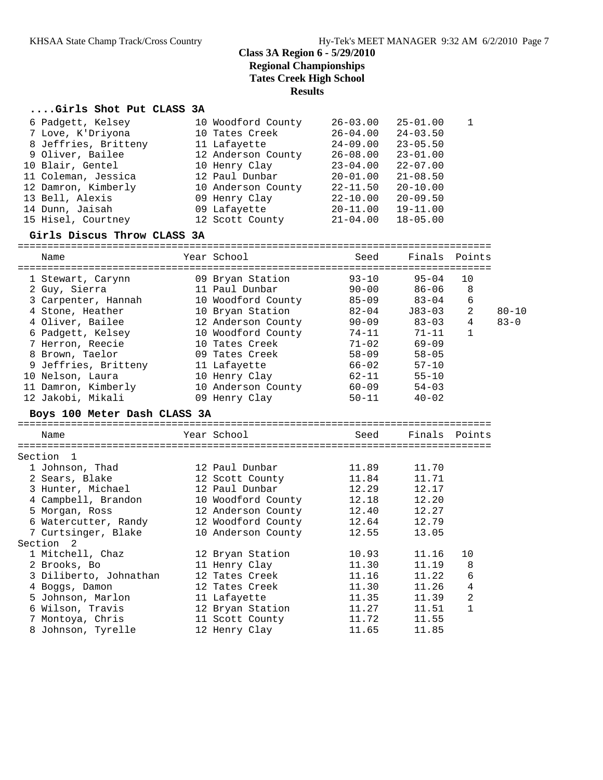## **....Girls Shot Put CLASS 3A**

|           | 6 Padgett, Kelsey<br>7 Love, K'Driyona<br>8 Jeffries, Britteny<br>9 Oliver, Bailee<br>10 Blair, Gentel<br>11 Coleman, Jessica<br>12 Damron, Kimberly<br>13 Bell, Alexis<br>14 Dunn, Jaisah<br>15 Hisel, Courtney | 10 Woodford County<br>10 Tates Creek<br>11 Lafayette<br>12 Anderson County<br>10 Henry Clay<br>12 Paul Dunbar<br>10 Anderson County<br>09 Henry Clay<br>09 Lafayette<br>12 Scott County | $26 - 03.00$<br>$26 - 04.00$<br>24-09.00<br>$26 - 08.00$<br>$23 - 04.00$<br>$20 - 01.00$<br>$22 - 11.50$<br>22-10.00<br>20-11.00<br>$21 - 04.00$ | $25 - 01.00$<br>$24 - 03.50$<br>$23 - 05.50$<br>$23 - 01.00$<br>$22 - 07.00$<br>$21 - 08.50$<br>$20 - 10.00$<br>$20 - 09.50$<br>$19 - 11.00$<br>$18 - 05.00$ | 1              |           |
|-----------|------------------------------------------------------------------------------------------------------------------------------------------------------------------------------------------------------------------|-----------------------------------------------------------------------------------------------------------------------------------------------------------------------------------------|--------------------------------------------------------------------------------------------------------------------------------------------------|--------------------------------------------------------------------------------------------------------------------------------------------------------------|----------------|-----------|
|           | Girls Discus Throw CLASS 3A                                                                                                                                                                                      |                                                                                                                                                                                         |                                                                                                                                                  |                                                                                                                                                              |                |           |
| Name      |                                                                                                                                                                                                                  | Year School                                                                                                                                                                             | Seed                                                                                                                                             |                                                                                                                                                              | Finals Points  |           |
|           | 1 Stewart, Carynn                                                                                                                                                                                                | 09 Bryan Station                                                                                                                                                                        | $93 - 10$                                                                                                                                        | $95 - 04$                                                                                                                                                    | 10             |           |
|           | 2 Guy, Sierra                                                                                                                                                                                                    | 11 Paul Dunbar                                                                                                                                                                          | $90 - 00$                                                                                                                                        | 86-06                                                                                                                                                        | 8              |           |
|           | 3 Carpenter, Hannah                                                                                                                                                                                              | 10 Woodford County                                                                                                                                                                      | $85 - 09$                                                                                                                                        | $83 - 04$                                                                                                                                                    | 6              |           |
|           | 4 Stone, Heather                                                                                                                                                                                                 | 10 Bryan Station                                                                                                                                                                        | 82-04                                                                                                                                            | J83-03                                                                                                                                                       | $\overline{2}$ | $80 - 10$ |
|           | 4 Oliver, Bailee                                                                                                                                                                                                 | 12 Anderson County                                                                                                                                                                      | $90 - 09$                                                                                                                                        | $83 - 03$                                                                                                                                                    | 4              | $83 - 0$  |
|           | 6 Padgett, Kelsey                                                                                                                                                                                                | 10 Woodford County                                                                                                                                                                      | 74-11                                                                                                                                            | 71-11                                                                                                                                                        | $\mathbf{1}$   |           |
|           | 7 Herron, Reecie                                                                                                                                                                                                 | 10 Tates Creek                                                                                                                                                                          | $71 - 02$                                                                                                                                        | $69 - 09$                                                                                                                                                    |                |           |
|           | 8 Brown, Taelor                                                                                                                                                                                                  | 09 Tates Creek                                                                                                                                                                          | $58 - 09$                                                                                                                                        | $58 - 05$                                                                                                                                                    |                |           |
|           | 9 Jeffries, Britteny                                                                                                                                                                                             | 11 Lafayette                                                                                                                                                                            | $66 - 02$                                                                                                                                        | $57 - 10$                                                                                                                                                    |                |           |
|           | 10 Nelson, Laura                                                                                                                                                                                                 | 10 Henry Clay                                                                                                                                                                           | $62 - 11$                                                                                                                                        | $55 - 10$                                                                                                                                                    |                |           |
|           | 11 Damron, Kimberly                                                                                                                                                                                              | 10 Anderson County                                                                                                                                                                      | 60-09                                                                                                                                            | $54 - 03$                                                                                                                                                    |                |           |
|           | 12 Jakobi, Mikali                                                                                                                                                                                                | 09 Henry Clay                                                                                                                                                                           | $50 - 11$                                                                                                                                        | $40 - 02$                                                                                                                                                    |                |           |
|           | Boys 100 Meter Dash CLASS 3A                                                                                                                                                                                     |                                                                                                                                                                                         |                                                                                                                                                  |                                                                                                                                                              |                |           |
|           |                                                                                                                                                                                                                  |                                                                                                                                                                                         |                                                                                                                                                  |                                                                                                                                                              |                |           |
| Name      |                                                                                                                                                                                                                  | Year School                                                                                                                                                                             | Seed                                                                                                                                             |                                                                                                                                                              | Finals Points  |           |
| Section   | $\mathbf{1}$                                                                                                                                                                                                     |                                                                                                                                                                                         |                                                                                                                                                  |                                                                                                                                                              |                |           |
|           | 1 Johnson, Thad                                                                                                                                                                                                  | 12 Paul Dunbar                                                                                                                                                                          | 11.89                                                                                                                                            | 11.70                                                                                                                                                        |                |           |
|           | 2 Sears, Blake                                                                                                                                                                                                   | 12 Scott County                                                                                                                                                                         | 11.84                                                                                                                                            | 11.71                                                                                                                                                        |                |           |
|           | 3 Hunter, Michael                                                                                                                                                                                                | 12 Paul Dunbar                                                                                                                                                                          | 12.29                                                                                                                                            | 12.17                                                                                                                                                        |                |           |
|           | 4 Campbell, Brandon                                                                                                                                                                                              | 10 Woodford County                                                                                                                                                                      | 12.18                                                                                                                                            | 12.20                                                                                                                                                        |                |           |
|           | 5 Morgan, Ross                                                                                                                                                                                                   | 12 Anderson County                                                                                                                                                                      | 12.40                                                                                                                                            | 12.27                                                                                                                                                        |                |           |
|           | 6 Watercutter, Randy                                                                                                                                                                                             | 12 Woodford County                                                                                                                                                                      | 12.64                                                                                                                                            | 12.79                                                                                                                                                        |                |           |
|           | 7 Curtsinger, Blake                                                                                                                                                                                              | 10 Anderson County                                                                                                                                                                      | 12.55                                                                                                                                            | 13.05                                                                                                                                                        |                |           |
| Section 2 |                                                                                                                                                                                                                  |                                                                                                                                                                                         |                                                                                                                                                  |                                                                                                                                                              |                |           |
|           | 1 Mitchell, Chaz                                                                                                                                                                                                 | 12 Bryan Station                                                                                                                                                                        | 10.93                                                                                                                                            | 11.16                                                                                                                                                        | 10             |           |
|           | 2 Brooks, Bo                                                                                                                                                                                                     | 11 Henry Clay                                                                                                                                                                           | 11.30                                                                                                                                            | 11.19                                                                                                                                                        | 8              |           |
|           | 3 Diliberto, Johnathan                                                                                                                                                                                           | 12 Tates Creek                                                                                                                                                                          | 11.16                                                                                                                                            | 11.22                                                                                                                                                        | 6              |           |
|           | 4 Boggs, Damon                                                                                                                                                                                                   | 12 Tates Creek                                                                                                                                                                          | 11.30                                                                                                                                            | 11.26                                                                                                                                                        | 4              |           |
|           | 5 Johnson, Marlon                                                                                                                                                                                                | 11 Lafayette                                                                                                                                                                            | 11.35                                                                                                                                            | 11.39                                                                                                                                                        | 2              |           |
|           | 6 Wilson, Travis                                                                                                                                                                                                 | 12 Bryan Station                                                                                                                                                                        | 11.27                                                                                                                                            | 11.51                                                                                                                                                        | 1              |           |
|           | 7 Montoya, Chris                                                                                                                                                                                                 | 11 Scott County                                                                                                                                                                         | 11.72                                                                                                                                            | 11.55                                                                                                                                                        |                |           |

8 Johnson, Tyrelle 12 Henry Clay 11.65 11.85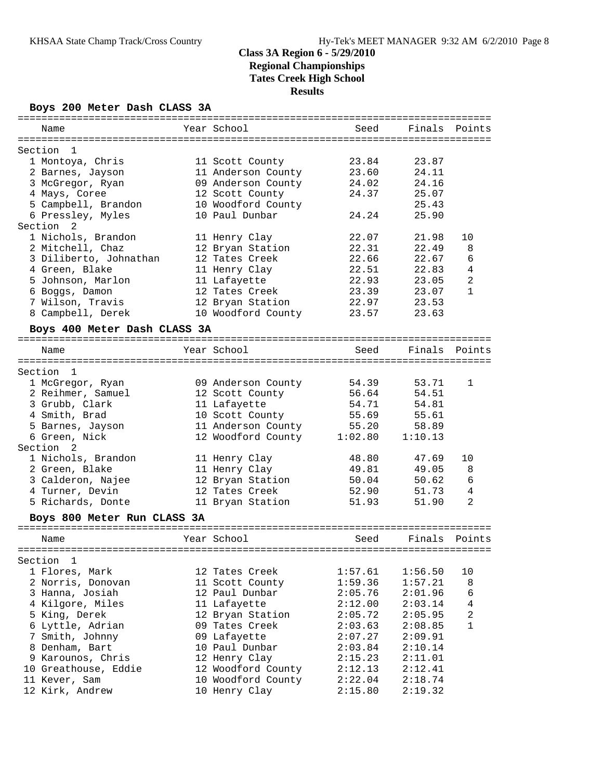### **Boys 200 Meter Dash CLASS 3A**

| ===========                                |                                      |                |                |                                |
|--------------------------------------------|--------------------------------------|----------------|----------------|--------------------------------|
| Name                                       | Year School                          | Seed           | Finals         | Points                         |
|                                            |                                      |                |                |                                |
| Section<br>1                               |                                      |                |                |                                |
| 1 Montoya, Chris                           | 11 Scott County                      | 23.84          | 23.87          |                                |
| 2 Barnes, Jayson                           | 11 Anderson County                   | 23.60          | 24.11          |                                |
| 3 McGregor, Ryan                           | 09 Anderson County                   | 24.02          | 24.16          |                                |
| 4 Mays, Coree                              | 12 Scott County                      | 24.37          | 25.07          |                                |
| 5 Campbell, Brandon                        | 10 Woodford County<br>10 Paul Dunbar |                | 25.43          |                                |
| 6 Pressley, Myles<br>Section               |                                      | 24.24          | 25.90          |                                |
| 2                                          |                                      |                |                |                                |
| 1 Nichols, Brandon                         | 11 Henry Clay<br>12 Bryan Station    | 22.07<br>22.31 | 21.98<br>22.49 | 10<br>8                        |
| 2 Mitchell, Chaz<br>3 Diliberto, Johnathan | 12 Tates Creek                       | 22.66          | 22.67          | 6                              |
|                                            |                                      |                |                |                                |
| 4 Green, Blake                             | 11 Henry Clay                        | 22.51          | 22.83          | 4                              |
| 5 Johnson, Marlon                          | 11 Lafayette<br>12 Tates Creek       | 22.93<br>23.39 | 23.05<br>23.07 | $\overline{a}$<br>$\mathbf{1}$ |
| 6 Boggs, Damon                             |                                      |                |                |                                |
| 7 Wilson, Travis                           | 12 Bryan Station                     | 22.97          | 23.53          |                                |
| 8 Campbell, Derek                          | 10 Woodford County                   | 23.57          | 23.63          |                                |
| Boys 400 Meter Dash CLASS 3A               |                                      |                |                |                                |
| Name                                       | Year School                          | Seed           | Finals         | Points                         |
|                                            |                                      |                |                |                                |
| Section<br>1                               |                                      |                |                |                                |
| 1 McGregor, Ryan                           | 09 Anderson County                   | 54.39          | 53.71          | 1                              |
| 2 Reihmer, Samuel                          | 12 Scott County                      | 56.64          | 54.51          |                                |
| 3 Grubb, Clark                             | 11 Lafayette                         | 54.71          | 54.81          |                                |
| 4 Smith, Brad                              | 10 Scott County                      | 55.69          | 55.61          |                                |
| 5 Barnes, Jayson                           | 11 Anderson County                   | 55.20          | 58.89          |                                |
| 6 Green, Nick                              | 12 Woodford County                   | 1:02.80        | 1:10.13        |                                |
| Section <sub>2</sub>                       |                                      |                |                |                                |
| 1 Nichols, Brandon                         | 11 Henry Clay                        | 48.80          | 47.69          | 10                             |
| 2 Green, Blake                             | 11 Henry Clay                        | 49.81          | 49.05          | 8                              |
| 3 Calderon, Najee                          | 12 Bryan Station                     | 50.04          | 50.62          | 6                              |
| 4 Turner, Devin                            | 12 Tates Creek                       | 52.90          | 51.73          | $\overline{4}$                 |
| 5 Richards, Donte                          | 11 Bryan Station                     | 51.93          | 51.90          | 2                              |
| Boys 800 Meter Run CLASS 3A                |                                      |                |                |                                |
|                                            |                                      |                |                |                                |
| Name                                       | Year School                          | Seed           | Finals         | Points                         |
|                                            |                                      |                |                |                                |
| Section<br>$\mathbf{1}$                    |                                      |                |                |                                |
| 1 Flores, Mark                             | 12 Tates Creek                       | 1:57.61        | 1:56.50        | 10                             |
| 2 Norris, Donovan                          | 11 Scott County                      | 1:59.36        | 1:57.21        | 8                              |
| 3 Hanna, Josiah                            | 12 Paul Dunbar                       | 2:05.76        | 2:01.96        | 6                              |
| 4 Kilgore, Miles                           | 11 Lafayette                         | 2:12.00        | 2:03.14        | $\overline{4}$                 |
| 5 King, Derek                              | 12 Bryan Station                     | 2:05.72        | 2:05.95        | $\overline{c}$                 |
| 6 Lyttle, Adrian                           | 09 Tates Creek                       | 2:03.63        | 2:08.85        | $\mathbf{1}$                   |
| 7 Smith, Johnny                            | 09 Lafayette                         | 2:07.27        | 2:09.91        |                                |
| 8 Denham, Bart                             | 10 Paul Dunbar                       | 2:03.84        | 2:10.14        |                                |
| 9 Karounos, Chris                          | 12 Henry Clay                        | 2:15.23        | 2:11.01        |                                |
| 10 Greathouse, Eddie                       | 12 Woodford County                   | 2:12.13        | 2:12.41        |                                |
| 11 Kever, Sam                              | 10 Woodford County                   | 2:22.04        | 2:18.74        |                                |
| 12 Kirk, Andrew                            | 10 Henry Clay                        | 2:15.80        | 2:19.32        |                                |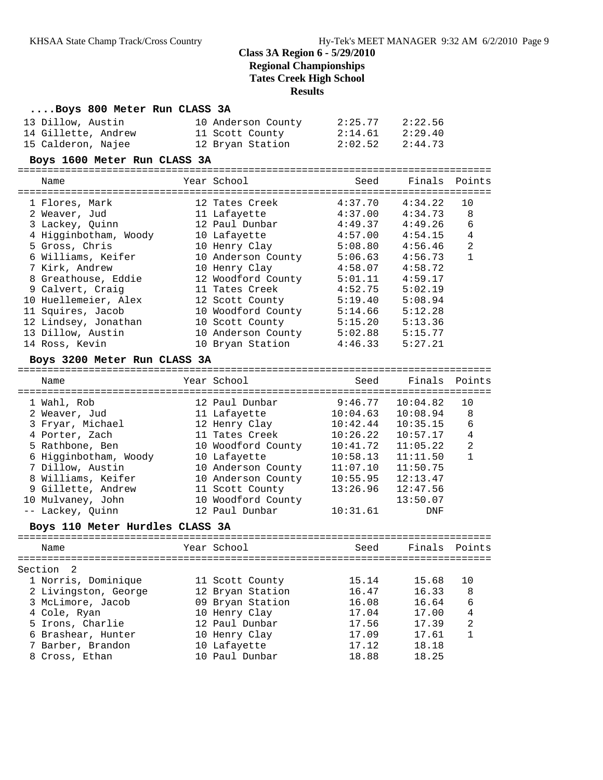#### **....Boys 800 Meter Run CLASS 3A**

| 13 Dillow, Austin   | 10 Anderson County | 2:25.77 | 2:22.56 |
|---------------------|--------------------|---------|---------|
| 14 Gillette, Andrew | 11 Scott County    | 2:14.61 | 2:29.40 |
| 15 Calderon, Najee  | 12 Bryan Station   | 2:02.52 | 2:44.73 |

#### **Boys 1600 Meter Run CLASS 3A**

================================================================================

| Name                  | Year School        | Seed    | Finals  | Points |
|-----------------------|--------------------|---------|---------|--------|
| 1 Flores, Mark        | 12 Tates Creek     | 4:37.70 | 4:34.22 | 10     |
| 2 Weaver, Jud         | 11 Lafayette       | 4:37.00 | 4:34.73 | 8      |
| 3 Lackey, Ouinn       | 12 Paul Dunbar     | 4:49.37 | 4:49.26 | 6      |
| 4 Higginbotham, Woody | 10 Lafayette       | 4:57.00 | 4:54.15 | 4      |
| 5 Gross, Chris        | 10 Henry Clay      | 5:08.80 | 4:56.46 | 2      |
| 6 Williams, Keifer    | 10 Anderson County | 5:06.63 | 4:56.73 |        |
| 7 Kirk, Andrew        | 10 Henry Clay      | 4:58.07 | 4:58.72 |        |
| 8 Greathouse, Eddie   | 12 Woodford County | 5:01.11 | 4:59.17 |        |
| 9 Calvert, Craig      | 11 Tates Creek     | 4:52.75 | 5:02.19 |        |
| 10 Huellemeier, Alex  | 12 Scott County    | 5:19.40 | 5:08.94 |        |
| 11 Squires, Jacob     | 10 Woodford County | 5:14.66 | 5:12.28 |        |
| 12 Lindsey, Jonathan  | 10 Scott County    | 5:15.20 | 5:13.36 |        |
| 13 Dillow, Austin     | 10 Anderson County | 5:02.88 | 5:15.77 |        |
| 14 Ross, Kevin        | 10 Bryan Station   | 4:46.33 | 5:27.21 |        |

#### **Boys 3200 Meter Run CLASS 3A**

================================================================================ Name The Year School Seed Finals Points ================================================================================ 1 Wahl, Rob 12 Paul Dunbar 9:46.77 10:04.82 10 2 Weaver, Jud 11 Lafayette 10:04.63 10:08.94 8 3 Fryar, Michael 12 Henry Clay 10:42.44 10:35.15 6 4 Porter, Zach 11 Tates Creek 10:26.22 10:57.17 4 5 Rathbone, Ben 10 Woodford County 10:41.72 11:05.22 2 6 Higginbotham, Woody 10 Lafayette 10:58.13 11:11.50 1 7 Dillow, Austin 10 Anderson County 11:07.10 11:50.75 8 Williams, Keifer 10 Anderson County 10:55.95 12:13.47 9 Gillette, Andrew 11 Scott County 13:26.96 12:47.56 10 Mulvaney, John 10 Woodford County 13:50.07 -- Lackey, Quinn 12 Paul Dunbar 10:31.61 DNF

#### **Boys 110 Meter Hurdles CLASS 3A**

| Name                 | Year School      | Seed  | Finals Points |                |
|----------------------|------------------|-------|---------------|----------------|
| Section 2            |                  |       |               |                |
| 1 Norris, Dominique  | 11 Scott County  | 15.14 | 15.68         | 10             |
| 2 Livingston, George | 12 Bryan Station | 16.47 | 16.33         | 8              |
| 3 McLimore, Jacob    | 09 Bryan Station | 16.08 | 16.64         | 6              |
| 4 Cole, Ryan         | 10 Henry Clay    | 17.04 | 17.00         | 4              |
| 5 Irons, Charlie     | 12 Paul Dunbar   | 17.56 | 17.39         | $\overline{2}$ |
| 6 Brashear, Hunter   | 10 Henry Clay    | 17.09 | 17.61         |                |
| 7 Barber, Brandon    | 10 Lafayette     | 17.12 | 18.18         |                |
| 8 Cross, Ethan       | 10 Paul Dunbar   | 18.88 | 18.25         |                |
|                      |                  |       |               |                |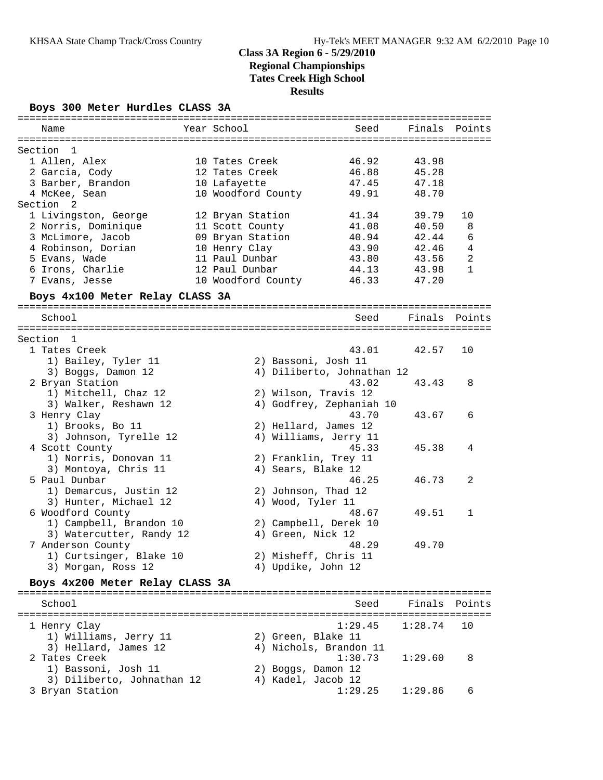### **Boys 300 Meter Hurdles CLASS 3A**

| Name                                     | Year School        |                            | Seed    | Finals  | Points         |
|------------------------------------------|--------------------|----------------------------|---------|---------|----------------|
|                                          |                    |                            |         |         |                |
| Section<br>$\mathbf{1}$<br>1 Allen, Alex | 10 Tates Creek     |                            | 46.92   | 43.98   |                |
|                                          |                    |                            |         |         |                |
| 2 Garcia, Cody                           | 12 Tates Creek     |                            | 46.88   | 45.28   |                |
| 3 Barber, Brandon                        | 10 Lafayette       |                            | 47.45   | 47.18   |                |
| 4 McKee, Sean                            | 10 Woodford County |                            | 49.91   | 48.70   |                |
| Section <sub>2</sub>                     |                    |                            |         |         |                |
| 1 Livingston, George                     | 12 Bryan Station   |                            | 41.34   | 39.79   | 10             |
| 2 Norris, Dominique                      | 11 Scott County    |                            | 41.08   | 40.50   | 8              |
| 3 McLimore, Jacob                        | 09 Bryan Station   |                            | 40.94   | 42.44   | 6              |
| 4 Robinson, Dorian                       | 10 Henry Clay      |                            | 43.90   | 42.46   | $\overline{4}$ |
| 5 Evans, Wade                            | 11 Paul Dunbar     |                            | 43.80   | 43.56   | 2              |
| 6 Irons, Charlie                         | 12 Paul Dunbar     |                            | 44.13   | 43.98   | $\mathbf{1}$   |
| 7 Evans, Jesse                           | 10 Woodford County |                            | 46.33   | 47.20   |                |
|                                          |                    |                            |         |         |                |
| Boys 4x100 Meter Relay CLASS 3A          |                    |                            |         |         |                |
| School                                   |                    |                            | Seed    | Finals  | Points         |
|                                          |                    |                            |         |         |                |
| Section 1                                |                    |                            |         |         |                |
| 1 Tates Creek                            |                    |                            | 43.01   | 42.57   | 10             |
| 1) Bailey, Tyler 11                      |                    | 2) Bassoni, Josh 11        |         |         |                |
| 3) Boggs, Damon 12                       |                    | 4) Diliberto, Johnathan 12 |         |         |                |
| 2 Bryan Station                          |                    |                            | 43.02   | 43.43   | 8              |
| 1) Mitchell, Chaz 12                     |                    | 2) Wilson, Travis 12       |         |         |                |
|                                          |                    | 4) Godfrey, Zephaniah 10   |         |         |                |
| 3) Walker, Reshawn 12                    |                    |                            |         |         |                |
| 3 Henry Clay                             |                    |                            | 43.70   | 43.67   | 6              |
| 1) Brooks, Bo 11                         |                    | 2) Hellard, James 12       |         |         |                |
| 3) Johnson, Tyrelle 12                   |                    | 4) Williams, Jerry 11      |         |         |                |
| 4 Scott County                           |                    |                            | 45.33   | 45.38   | 4              |
| 1) Norris, Donovan 11                    |                    | 2) Franklin, Trey 11       |         |         |                |
| 3) Montoya, Chris 11                     |                    | 4) Sears, Blake 12         |         |         |                |
| 5 Paul Dunbar                            |                    |                            | 46.25   | 46.73   | 2              |
| 1) Demarcus, Justin 12                   |                    | 2) Johnson, Thad 12        |         |         |                |
| 3) Hunter, Michael 12                    |                    | 4) Wood, Tyler 11          |         |         |                |
| 6 Woodford County                        |                    |                            | 48.67   | 49.51   | $\mathbf{1}$   |
| 1) Campbell, Brandon 10                  |                    | 2) Campbell, Derek 10      |         |         |                |
| 3) Watercutter, Randy 12                 |                    | 4) Green, Nick 12          |         |         |                |
| 7 Anderson County                        |                    |                            | 48.29   | 49.70   |                |
|                                          |                    |                            |         |         |                |
| 1) Curtsinger, Blake 10                  |                    | 2) Misheff, Chris 11       |         |         |                |
| 3) Morgan, Ross 12                       |                    | 4) Updike, John 12         |         |         |                |
| Boys 4x200 Meter Relay CLASS 3A          |                    |                            |         |         |                |
|                                          |                    |                            |         |         |                |
| School                                   |                    |                            | Seed    | Finals  | Points         |
| 1 Henry Clay                             |                    |                            | 1:29.45 | 1:28.74 | 10             |
| 1) Williams, Jerry 11                    |                    | 2) Green, Blake 11         |         |         |                |
|                                          |                    | 4) Nichols, Brandon 11     |         |         |                |
| 3) Hellard, James 12<br>2 Tates Creek    |                    |                            | 1:30.73 |         |                |
|                                          |                    |                            |         | 1:29.60 | 8              |
| 1) Bassoni, Josh 11                      |                    | 2) Boggs, Damon 12         |         |         |                |
| 3) Diliberto, Johnathan 12               |                    | 4) Kadel, Jacob 12         |         |         |                |
| 3 Bryan Station                          |                    |                            | 1:29.25 | 1:29.86 | 6              |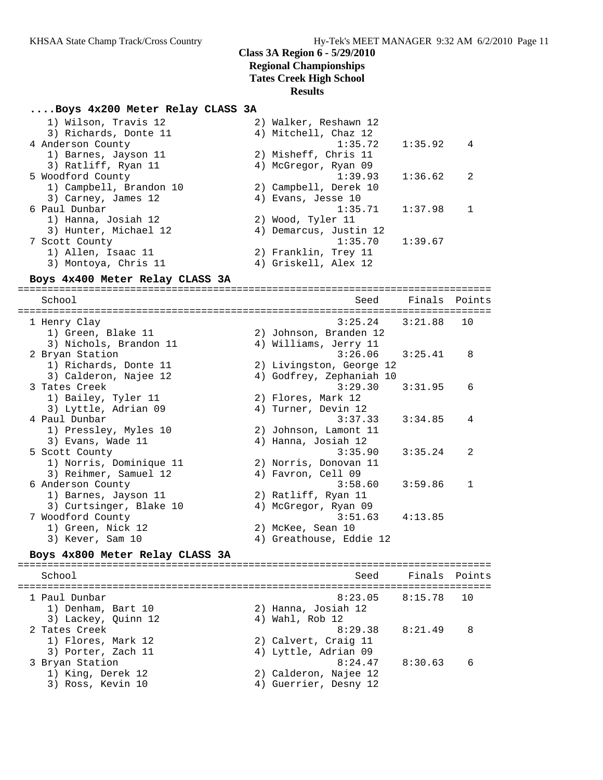### **....Boys 4x200 Meter Relay CLASS 3A**

| 1) Wilson, Travis 12    | 2) Walker, Reshawn 12  |         |                |
|-------------------------|------------------------|---------|----------------|
| 3) Richards, Donte 11   | 4) Mitchell, Chaz 12   |         |                |
| 4 Anderson County       | 1:35.72                | 1:35.92 | $\overline{4}$ |
| 1) Barnes, Jayson 11    | 2) Misheff, Chris 11   |         |                |
| 3) Ratliff, Ryan 11     | 4) McGregor, Ryan 09   |         |                |
| 5 Woodford County       | 1:39.93                | 1:36.62 | - 2            |
| 1) Campbell, Brandon 10 | 2) Campbell, Derek 10  |         |                |
| 3) Carney, James 12     | 4) Evans, Jesse 10     |         |                |
| 6 Paul Dunbar           | 1:35.71                | 1:37.98 | $\overline{1}$ |
| 1) Hanna, Josiah 12     | 2) Wood, Tyler 11      |         |                |
| 3) Hunter, Michael 12   | 4) Demarcus, Justin 12 |         |                |
| 7 Scott County          | 1:35.70                | 1:39.67 |                |
| 1) Allen, Isaac 11      | 2) Franklin, Trey 11   |         |                |
| 3) Montoya, Chris 11    | 4) Griskell, Alex 12   |         |                |

#### **Boys 4x400 Meter Relay CLASS 3A**

================================================================================ School Seed Finals Points ================================================================================ 1 Henry Clay 3:25.24 3:21.88 10 1) Green, Blake 11 2) Johnson, Branden 12 3) Nichols, Brandon 11 4) Williams, Jerry 11 2 Bryan Station 3:26.06 3:25.41 8 1) Richards, Donte 11 2) Livingston, George 12 3) Calderon, Najee 12 4) Godfrey, Zephaniah 10 3 Tates Creek 3:29.30 3:31.95 6 1) Bailey, Tyler 11 2) Flores, Mark 12 3) Lyttle, Adrian 09 (4) Turner, Devin 12 4 Paul Dunbar 3:37.33 3:34.85 4 1) Pressley, Myles 10 2) Johnson, Lamont 11 3) Evans, Wade 11 (4) Hanna, Josiah 12 5 Scott County 3:35.90 3:35.24 2 1) Norris, Dominique 11 2) Norris, Donovan 11 3) Reihmer, Samuel 12 (4) Favron, Cell 09 6 Anderson County 3:58.60 3:59.86 1 1) Barnes, Jayson 11 2) Ratliff, Ryan 11 3) Curtsinger, Blake 10 (4) McGregor, Ryan 09 7 Woodford County 3:51.63 4:13.85 1) Green, Nick 12 2) McKee, Sean 10 3) Kever, Sam 10 4) Greathouse, Eddie 12 **Boys 4x800 Meter Relay CLASS 3A** ================================================================================ School Seed Finals Points

================================================================================

2 Tates Creek 8:29.38 8:21.49 8

3 Bryan Station 8:24.47 8:30.63 6

 1) Denham, Bart 10 2) Hanna, Josiah 12 3) Lackey, Quinn 12 (4) Wahl, Rob 12

 1) Flores, Mark 12 2) Calvert, Craig 11 3) Porter, Zach 11 (4) Lyttle, Adrian 09

 1) King, Derek 12 2) Calderon, Najee 12 3) Ross, Kevin 10 4) Guerrier, Desny 12

8:23.05 8:15.78 10<br>2) Hanna, Josiah 12<br>4) Wahl, Rob 12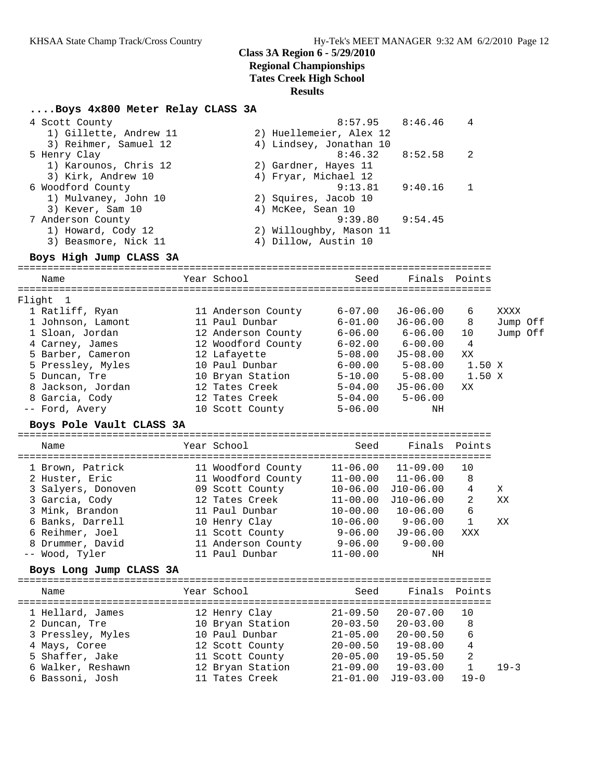### **Class 3A Region 6 - 5/29/2010 Regional Championships**

**Tates Creek High School**

### **Results**

#### **....Boys 4x800 Meter Relay CLASS 3A**

| 4 Scott County         | 8:57.95                 | 8:46.46 | 4   |
|------------------------|-------------------------|---------|-----|
| 1) Gillette, Andrew 11 | 2) Huellemeier, Alex 12 |         |     |
| 3) Reihmer, Samuel 12  | 4) Lindsey, Jonathan 10 |         |     |
| 5 Henry Clay           | $8:46.32$ $8:52.58$     |         | -2. |
| 1) Karounos, Chris 12  | 2) Gardner, Hayes 11    |         |     |
| 3) Kirk, Andrew 10     | 4) Fryar, Michael 12    |         |     |
| 6 Woodford County      | 9:13.81                 | 9:40.16 |     |
| 1) Mulvaney, John 10   | 2) Squires, Jacob 10    |         |     |
| 3) Kever, Sam 10       | 4) McKee, Sean 10       |         |     |
| 7 Anderson County      | 9:39.80                 | 9:54.45 |     |
| 1) Howard, Cody 12     | 2) Willoughby, Mason 11 |         |     |
| 3) Beasmore, Nick 11   | 4) Dillow, Austin 10    |         |     |
|                        |                         |         |     |

#### **Boys High Jump CLASS 3A**

================================================================================ Name The Year School Seed Finals Points ================================================================================ Flight 1 1 Ratliff, Ryan 11 Anderson County 6-07.00 J6-06.00 6 XXXX 1 Johnson, Lamont 11 Paul Dunbar 6-01.00 J6-06.00 8 Jump Off 1 Sloan, Jordan 12 Anderson County 6-06.00 6-06.00 10 Jump Off 4 Carney, James 12 Woodford County 6-02.00 6-00.00 4 5 Barber, Cameron 12 Lafayette 5-08.00 J5-08.00 XX 5 Pressley, Myles 10 Paul Dunbar 6-00.00 5-08.00 1.50 X 5 Duncan, Tre 10 Bryan Station 5-10.00 5-08.00 1.50 X

## 8 Jackson, Jordan 12 Tates Creek 5-04.00 J5-06.00 XX 8 Garcia, Cody 12 Tates Creek 5-04.00 5-06.00 -- Ford, Avery 10 Scott County 5-06.00 NH

### **Boys Pole Vault CLASS 3A**

================================================================================ Name The Year School Seed Finals Points ================================================================================ 1 Brown, Patrick 11 Woodford County 11-06.00 11-09.00 10 2 Huster, Eric 11 Woodford County 11-00.00 11-06.00 8 3 Salyers, Donoven 09 Scott County 10-06.00 J10-06.00 4 X 3 Garcia, Cody 12 Tates Creek 11-00.00 J10-06.00 2 XX 3 Mink, Brandon 11 Paul Dunbar 10-00.00 10-06.00 6 6 Banks, Darrell 10 Henry Clay 10-06.00 9-06.00 1 XX 6 Reihmer, Joel 11 Scott County 9-06.00 J9-06.00 XXX 8 Drummer, David 11 Anderson County 9-06.00 9-00.00

#### **Boys Long Jump CLASS 3A**

================================================================================

-- Wood, Tyler 11 Paul Dunbar 11-00.00 NH

| Name              | Year School      | Seed         | Finals Points |          |          |
|-------------------|------------------|--------------|---------------|----------|----------|
| 1 Hellard, James  | 12 Henry Clay    | $21 - 09.50$ | $20 - 07.00$  | 10       |          |
| 2 Duncan, Tre     | 10 Bryan Station | $20 - 03.50$ | $20 - 03.00$  | 8        |          |
| 3 Pressley, Myles | 10 Paul Dunbar   | $21 - 05.00$ | $20 - 00.50$  | 6        |          |
| 4 Mays, Coree     | 12 Scott County  | $20 - 00.50$ | $19 - 08.00$  | 4        |          |
| 5 Shaffer, Jake   | 11 Scott County  | $20 - 05.00$ | $19 - 05.50$  | 2        |          |
| 6 Walker, Reshawn | 12 Bryan Station | $21 - 09.00$ | $19 - 03.00$  |          | $19 - 3$ |
| 6 Bassoni, Josh   | 11 Tates Creek   | $21 - 01.00$ | $J19-03.00$   | $19 - 0$ |          |
|                   |                  |              |               |          |          |